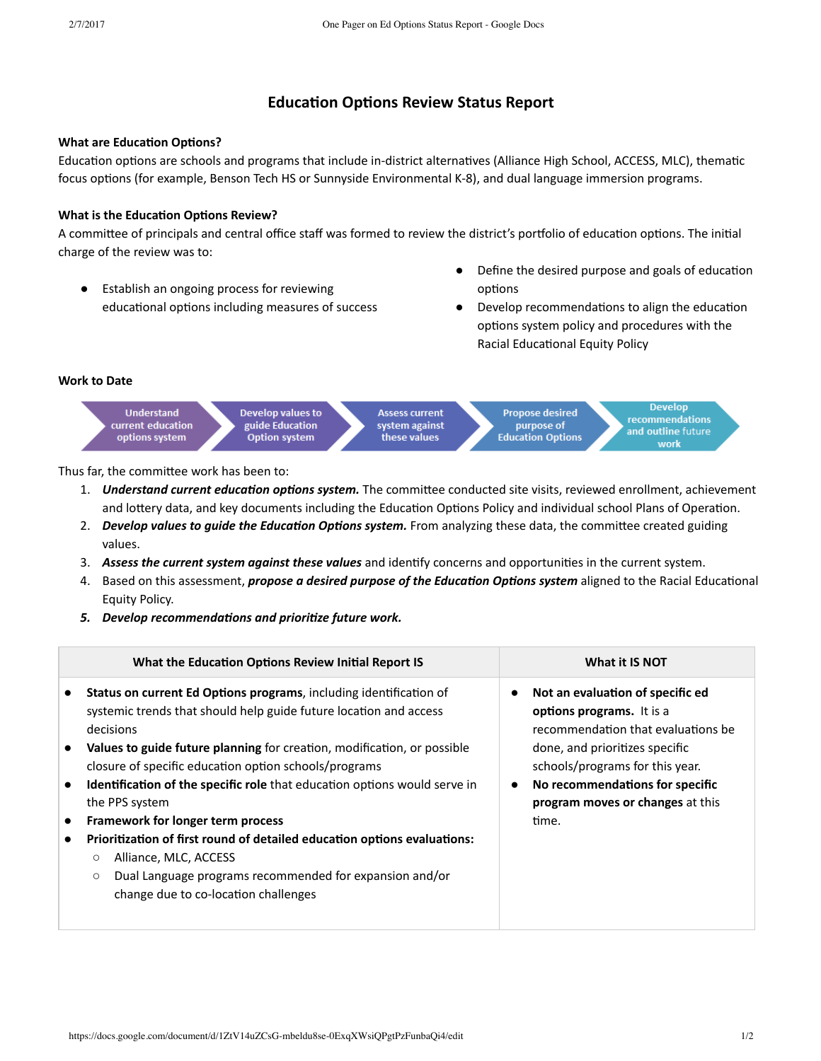# **Education Options Review Status Report**

## **What are Education Options?**

Education options are schools and programs that include in-district alternatives (Alliance High School, ACCESS, MLC), thematic focus options (for example, Benson Tech HS or Sunnyside Environmental K-8), and dual language immersion programs.

## **What is the Education Options Review?**

A committee of principals and central office staff was formed to review the district's portfolio of education options. The initial charge of the review was to:

- Establish an ongoing process for reviewing educational options including measures of success
- Define the desired purpose and goals of education options
- Develop recommendations to align the education options system policy and procedures with the Racial Educational Equity Policy

#### **Work to Date**



Thus far, the committee work has been to:

- 1. *Understand current education options system*. The committee conducted site visits, reviewed enrollment, achievement and lottery data, and key documents including the Education Options Policy and individual school Plans of Operation.
- 2. *Develop values to quide the Education Options system.* From analyzing these data, the committee created guiding values.
- 3. *Assess the current system against these values* and idenfy concerns and opportunies in the current system.
- 4. Based on this assessment, *propose a desired purpose of the Education Options system* aligned to the Racial Educational Equity Policy.
- 5. Develop recommendations and prioritize future work.

| What the Education Options Review Initial Report IS                                                                                                                                                                        | What it IS NOT                                                                                      |
|----------------------------------------------------------------------------------------------------------------------------------------------------------------------------------------------------------------------------|-----------------------------------------------------------------------------------------------------|
| <b>Status on current Ed Options programs, including identification of</b><br>systemic trends that should help guide future location and access<br>decisions                                                                | Not an evaluation of specific ed<br>options programs. It is a<br>recommendation that evaluations be |
| Values to guide future planning for creation, modification, or possible<br>closure of specific education option schools/programs                                                                                           | done, and prioritizes specific<br>schools/programs for this year.                                   |
| <b>Identification of the specific role</b> that education options would serve in<br>the PPS system                                                                                                                         | No recommendations for specific<br>program moves or changes at this                                 |
| Framework for longer term process                                                                                                                                                                                          | time.                                                                                               |
| Prioritization of first round of detailed education options evaluations:<br>Alliance, MLC, ACCESS<br>$\circ$<br>Dual Language programs recommended for expansion and/or<br>$\circ$<br>change due to co-location challenges |                                                                                                     |